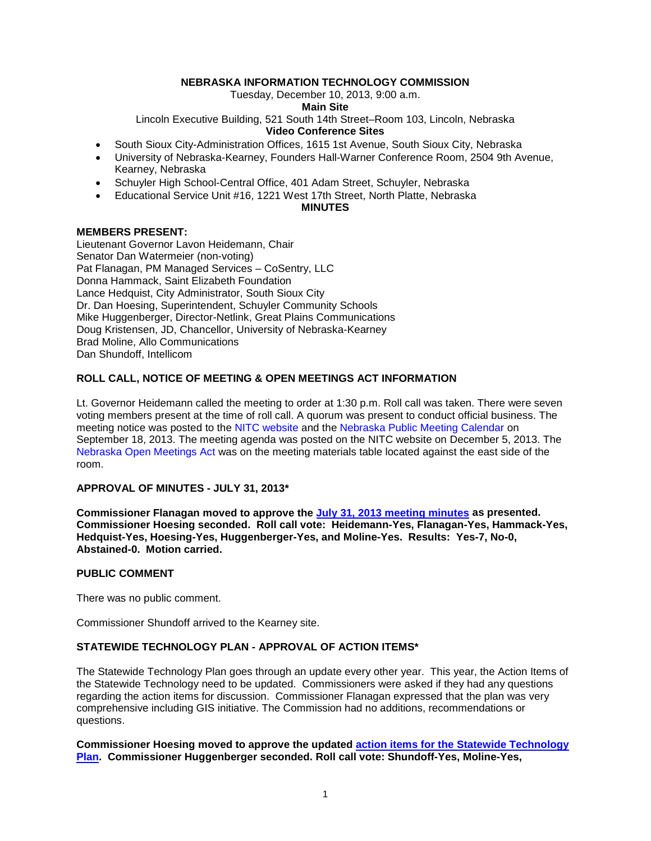# **NEBRASKA INFORMATION TECHNOLOGY COMMISSION**

Tuesday, December 10, 2013, 9:00 a.m.

### **Main Site**

Lincoln Executive Building, 521 South 14th Street–Room 103, Lincoln, Nebraska

### **Video Conference Sites**

- South Sioux City-Administration Offices, 1615 1st Avenue, South Sioux City, Nebraska
- University of Nebraska-Kearney, Founders Hall-Warner Conference Room, 2504 9th Avenue, Kearney, Nebraska
- Schuyler High School-Central Office, 401 Adam Street, Schuyler, Nebraska
- Educational Service Unit #16, 1221 West 17th Street, North Platte, Nebraska

# **MINUTES**

# **MEMBERS PRESENT:**

Lieutenant Governor Lavon Heidemann, Chair Senator Dan Watermeier (non-voting) Pat Flanagan, PM Managed Services – CoSentry, LLC Donna Hammack, Saint Elizabeth Foundation Lance Hedquist, City Administrator, South Sioux City Dr. Dan Hoesing, Superintendent, Schuyler Community Schools Mike Huggenberger, Director-Netlink, Great Plains Communications Doug Kristensen, JD, Chancellor, University of Nebraska-Kearney Brad Moline, Allo Communications Dan Shundoff, Intellicom

# **ROLL CALL, NOTICE OF MEETING & [OPEN MEETINGS ACT](http://nitc.nebraska.gov/documents/statutes/NebraskaOpenMeetingsAct_20130906.pdf) INFORMATION**

Lt. Governor Heidemann called the meeting to order at 1:30 p.m. Roll call was taken. There were seven voting members present at the time of roll call. A quorum was present to conduct official business. The meeting notice was posted to the NITC website and the Nebraska Public Meeting Calendar on September 18, 2013. The meeting agenda was posted on the NITC website on December 5, 2013. The Nebraska Open Meetings Act was on the meeting materials table located against the east side of the room.

### **APPROVAL OF MINUTES - [JULY 31, 2013\\*](http://nitc.nebraska.gov/commission/meetings/documents/20131210/2013-07-31.pdf)**

**Commissioner Flanagan moved to approve the [July 31, 2013 meeting minutes](http://nitc.nebraska.gov/commission/meetings/documents/20131210/2013-07-31.pdf1MENUMAIN_6432873599574526976&RENDER_MAFLET=E1Menu) as presented. Commissioner Hoesing seconded. Roll call vote: Heidemann-Yes, Flanagan-Yes, Hammack-Yes, Hedquist-Yes, Hoesing-Yes, Huggenberger-Yes, and Moline-Yes. Results: Yes-7, No-0, Abstained-0. Motion carried.**

# **PUBLIC COMMENT**

There was no public comment.

Commissioner Shundoff arrived to the Kearney site.

## **STATEWIDE TECHNOLOGY PLAN - APPROVAL OF [ACTION ITEMS\\*](http://nitc.nebraska.gov/commission/meetings/documents/20131210/ActionItems2014-2016_ALL.pdf)**

The Statewide Technology Plan goes through an update every other year. This year, the Action Items of the Statewide Technology need to be updated. Commissioners were asked if they had any questions regarding the action items for discussion. Commissioner Flanagan expressed that the plan was very comprehensive including GIS initiative. The Commission had no additions, recommendations or questions.

**Commissioner Hoesing moved to approve the updated [action items for the Statewide Technology](http://nitc.nebraska.gov/commission/meetings/documents/20131210/ActionItems2014-2016_ALL.pdf)  [Plan.](http://nitc.nebraska.gov/commission/meetings/documents/20131210/ActionItems2014-2016_ALL.pdf) Commissioner Huggenberger seconded. Roll call vote: Shundoff-Yes, Moline-Yes,**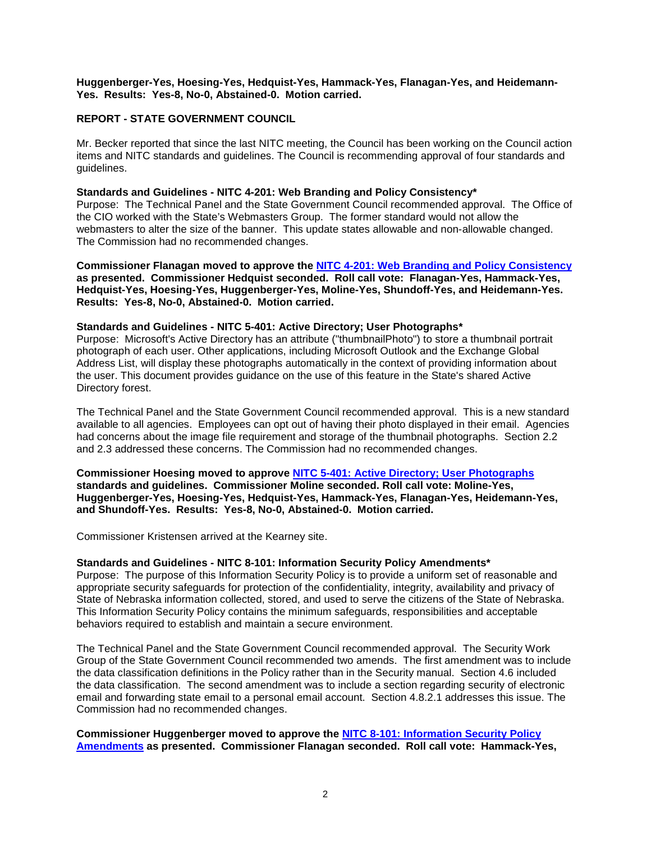# **Huggenberger-Yes, Hoesing-Yes, Hedquist-Yes, Hammack-Yes, Flanagan-Yes, and Heidemann-Yes. Results: Yes-8, No-0, Abstained-0. Motion carried.**

# **REPORT - STATE GOVERNMENT COUNCIL**

Mr. Becker reported that since the last NITC meeting, the Council has been working on the Council action items and NITC standards and guidelines. The Council is recommending approval of four standards and guidelines.

# **Standards and Guidelines - NITC 4-201: Web Branding and Policy Consistency\***

Purpose: The Technical Panel and the State Government Council recommended approval. The Office of the CIO worked with the State's Webmasters Group. The former standard would not allow the webmasters to alter the size of the banner. This update states allowable and non-allowable changed. The Commission had no recommended changes.

**Commissioner Flanagan moved to approve the [NITC 4-201: Web Branding and Policy Consistency](http://nitc.nebraska.gov/commission/meetings/documents/20131210/4-201_amendment.pdf) as presented. Commissioner Hedquist seconded. Roll call vote: Flanagan-Yes, Hammack-Yes, Hedquist-Yes, Hoesing-Yes, Huggenberger-Yes, Moline-Yes, Shundoff-Yes, and Heidemann-Yes. Results: Yes-8, No-0, Abstained-0. Motion carried.**

### **Standards and Guidelines - NITC 5-401: Active Directory; User Photographs\***

Purpose: Microsoft's Active Directory has an attribute ("thumbnailPhoto") to store a thumbnail portrait photograph of each user. Other applications, including Microsoft Outlook and the Exchange Global Address List, will display these photographs automatically in the context of providing information about the user. This document provides guidance on the use of this feature in the State's shared Active Directory forest.

The Technical Panel and the State Government Council recommended approval. This is a new standard available to all agencies. Employees can opt out of having their photo displayed in their email. Agencies had concerns about the image file requirement and storage of the thumbnail photographs. Section 2.2 and 2.3 addressed these concerns. The Commission had no recommended changes.

**Commissioner Hoesing moved to approve [NITC 5-401: Active Directory; User Photographs](http://nitc.nebraska.gov/commission/meetings/documents/20131210/5-401_new.pdf) standards and guidelines. Commissioner Moline seconded. Roll call vote: Moline-Yes, Huggenberger-Yes, Hoesing-Yes, Hedquist-Yes, Hammack-Yes, Flanagan-Yes, Heidemann-Yes, and Shundoff-Yes. Results: Yes-8, No-0, Abstained-0. Motion carried.**

Commissioner Kristensen arrived at the Kearney site.

### **Standards and Guidelines - NITC 8-101: Information Security Policy Amendments\***

Purpose: The purpose of this Information Security Policy is to provide a uniform set of reasonable and appropriate security safeguards for protection of the confidentiality, integrity, availability and privacy of State of Nebraska information collected, stored, and used to serve the citizens of the State of Nebraska. This Information Security Policy contains the minimum safeguards, responsibilities and acceptable behaviors required to establish and maintain a secure environment.

The Technical Panel and the State Government Council recommended approval. The Security Work Group of the State Government Council recommended two amends. The first amendment was to include the data classification definitions in the Policy rather than in the Security manual. Section 4.6 included the data classification. The second amendment was to include a section regarding security of electronic email and forwarding state email to a personal email account. Section 4.8.2.1 addresses this issue. The Commission had no recommended changes.

**Commissioner Huggenberger moved to approve the [NITC 8-101: Information Security Policy](http://nitc.nebraska.gov/commission/meetings/documents/20131210/8-101_amendment.pdf)  [Amendments](http://nitc.nebraska.gov/commission/meetings/documents/20131210/8-101_amendment.pdf) as presented. Commissioner Flanagan seconded. Roll call vote: Hammack-Yes,**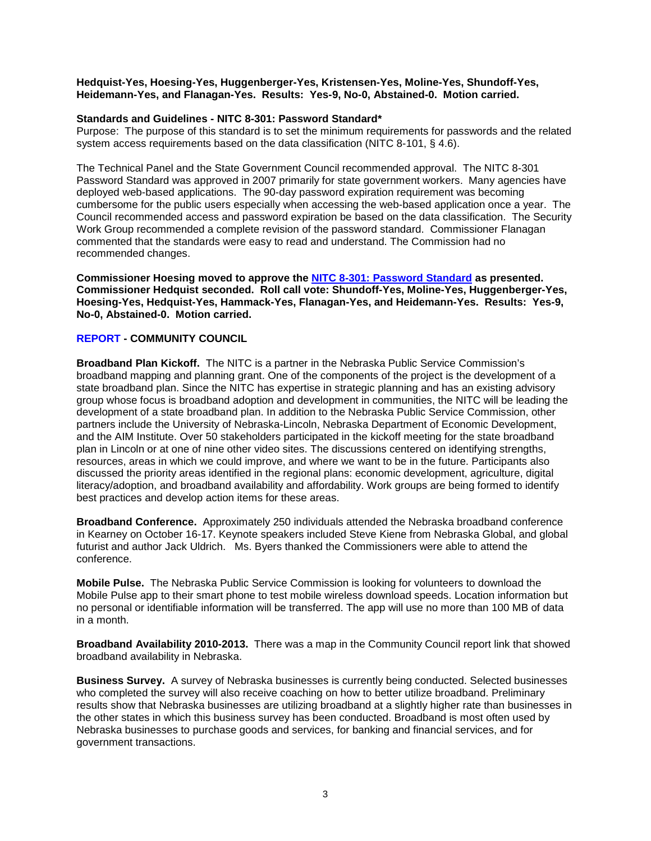#### **Hedquist-Yes, Hoesing-Yes, Huggenberger-Yes, Kristensen-Yes, Moline-Yes, Shundoff-Yes, Heidemann-Yes, and Flanagan-Yes. Results: Yes-9, No-0, Abstained-0. Motion carried.**

### **Standards and Guidelines - [NITC 8-301:](http://nitc.nebraska.gov/commission/meetings/documents/20131210/8-301_amendment.pdf) Password Standard\***

Purpose:The purpose of this standard is to set the minimum requirements for passwords and the related system access requirements based on the data classification (NITC 8-101, § 4.6).

The Technical Panel and the State Government Council recommended approval. The NITC 8-301 Password Standard was approved in 2007 primarily for state government workers. Many agencies have deployed web-based applications. The 90-day password expiration requirement was becoming cumbersome for the public users especially when accessing the web-based application once a year. The Council recommended access and password expiration be based on the data classification. The Security Work Group recommended a complete revision of the password standard. Commissioner Flanagan commented that the standards were easy to read and understand. The Commission had no recommended changes.

**Commissioner Hoesing moved to approve the [NITC 8-301: Password Standard](http://nitc.nebraska.gov/commission/meetings/documents/20131210/8-301_amendment.pdf) as presented. Commissioner Hedquist seconded. Roll call vote: Shundoff-Yes, Moline-Yes, Huggenberger-Yes, Hoesing-Yes, Hedquist-Yes, Hammack-Yes, Flanagan-Yes, and Heidemann-Yes. Results: Yes-9, No-0, Abstained-0. Motion carried.**

#### **[REPORT](http://nitc.nebraska.gov/commission/meetings/documents/20131210/Community%20Council%20report.pdf) - COMMUNITY COUNCIL**

**Broadband Plan Kickoff.** The NITC is a partner in the Nebraska Public Service Commission's broadband mapping and planning grant. One of the components of the project is the development of a state broadband plan. Since the NITC has expertise in strategic planning and has an existing advisory group whose focus is broadband adoption and development in communities, the NITC will be leading the development of a state broadband plan. In addition to the Nebraska Public Service Commission, other partners include the University of Nebraska-Lincoln, Nebraska Department of Economic Development, and the AIM Institute. Over 50 stakeholders participated in the kickoff meeting for the state broadband plan in Lincoln or at one of nine other video sites. The discussions centered on identifying strengths, resources, areas in which we could improve, and where we want to be in the future. Participants also discussed the priority areas identified in the regional plans: economic development, agriculture, digital literacy/adoption, and broadband availability and affordability. Work groups are being formed to identify best practices and develop action items for these areas.

**Broadband Conference.** Approximately 250 individuals attended the Nebraska broadband conference in Kearney on October 16-17. Keynote speakers included Steve Kiene from Nebraska Global, and global futurist and author Jack Uldrich. Ms. Byers thanked the Commissioners were able to attend the conference.

**Mobile Pulse.** The Nebraska Public Service Commission is looking for volunteers to download the Mobile Pulse app to their smart phone to test mobile wireless download speeds. Location information but no personal or identifiable information will be transferred. The app will use no more than 100 MB of data in a month.

**Broadband Availability 2010-2013.** There was a map in the Community Council report link that showed broadband availability in Nebraska.

**Business Survey.** A survey of Nebraska businesses is currently being conducted. Selected businesses who completed the survey will also receive coaching on how to better utilize broadband. Preliminary results show that Nebraska businesses are utilizing broadband at a slightly higher rate than businesses in the other states in which this business survey has been conducted. Broadband is most often used by Nebraska businesses to purchase goods and services, for banking and financial services, and for government transactions.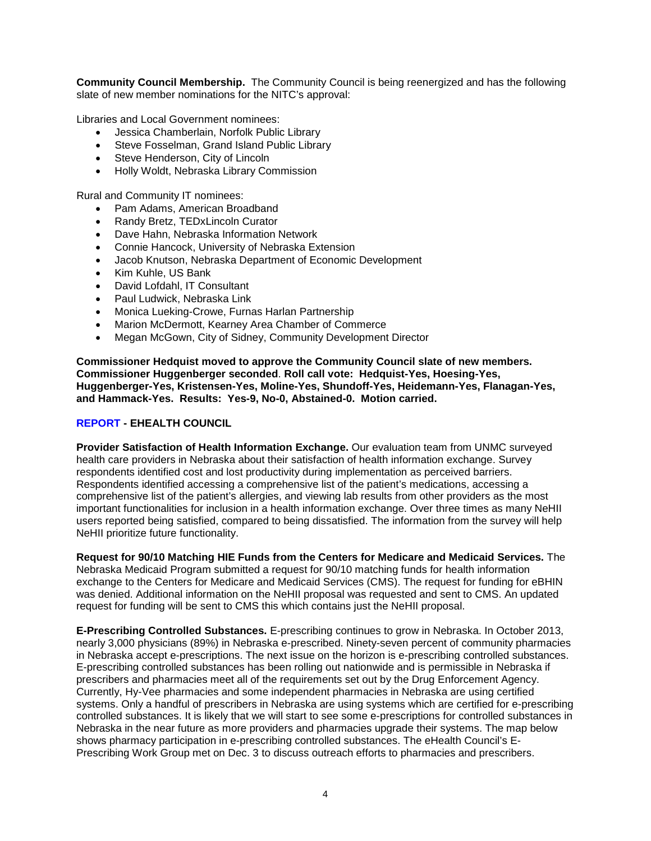**Community Council Membership.** The Community Council is being reenergized and has the following slate of new member nominations for the NITC's approval:

Libraries and Local Government nominees:

- Jessica Chamberlain, Norfolk Public Library
- Steve Fosselman, Grand Island Public Library
- Steve Henderson, City of Lincoln
- Holly Woldt, Nebraska Library Commission

Rural and Community IT nominees:

- Pam Adams, American Broadband
- Randy Bretz, TEDxLincoln Curator
- Dave Hahn, Nebraska Information Network
- Connie Hancock, University of Nebraska Extension
- Jacob Knutson, Nebraska Department of Economic Development
- Kim Kuhle, US Bank
- David Lofdahl, IT Consultant
- Paul Ludwick, Nebraska Link
- Monica Lueking-Crowe, Furnas Harlan Partnership
- Marion McDermott, Kearney Area Chamber of Commerce
- Megan McGown, City of Sidney, Community Development Director

**Commissioner Hedquist moved to approve the Community Council slate of new members. Commissioner Huggenberger seconded**. **Roll call vote: Hedquist-Yes, Hoesing-Yes, Huggenberger-Yes, Kristensen-Yes, Moline-Yes, Shundoff-Yes, Heidemann-Yes, Flanagan-Yes, and Hammack-Yes. Results: Yes-9, No-0, Abstained-0. Motion carried.**

## **[REPORT](http://nitc.nebraska.gov/commission/meetings/documents/20131210/Dec%202013%20eHealth%20Council%20Report.pdf) - EHEALTH COUNCIL**

**Provider Satisfaction of Health Information Exchange.** Our evaluation team from UNMC surveyed health care providers in Nebraska about their satisfaction of health information exchange. Survey respondents identified cost and lost productivity during implementation as perceived barriers. Respondents identified accessing a comprehensive list of the patient's medications, accessing a comprehensive list of the patient's allergies, and viewing lab results from other providers as the most important functionalities for inclusion in a health information exchange. Over three times as many NeHII users reported being satisfied, compared to being dissatisfied. The information from the survey will help NeHII prioritize future functionality.

**Request for 90/10 Matching HIE Funds from the Centers for Medicare and Medicaid Services.** The Nebraska Medicaid Program submitted a request for 90/10 matching funds for health information exchange to the Centers for Medicare and Medicaid Services (CMS). The request for funding for eBHIN was denied. Additional information on the NeHII proposal was requested and sent to CMS. An updated request for funding will be sent to CMS this which contains just the NeHII proposal.

**E-Prescribing Controlled Substances.** E-prescribing continues to grow in Nebraska. In October 2013, nearly 3,000 physicians (89%) in Nebraska e-prescribed. Ninety-seven percent of community pharmacies in Nebraska accept e-prescriptions. The next issue on the horizon is e-prescribing controlled substances. E-prescribing controlled substances has been rolling out nationwide and is permissible in Nebraska if prescribers and pharmacies meet all of the requirements set out by the Drug Enforcement Agency. Currently, Hy-Vee pharmacies and some independent pharmacies in Nebraska are using certified systems. Only a handful of prescribers in Nebraska are using systems which are certified for e-prescribing controlled substances. It is likely that we will start to see some e-prescriptions for controlled substances in Nebraska in the near future as more providers and pharmacies upgrade their systems. The map below shows pharmacy participation in e-prescribing controlled substances. The eHealth Council's E-Prescribing Work Group met on Dec. 3 to discuss outreach efforts to pharmacies and prescribers.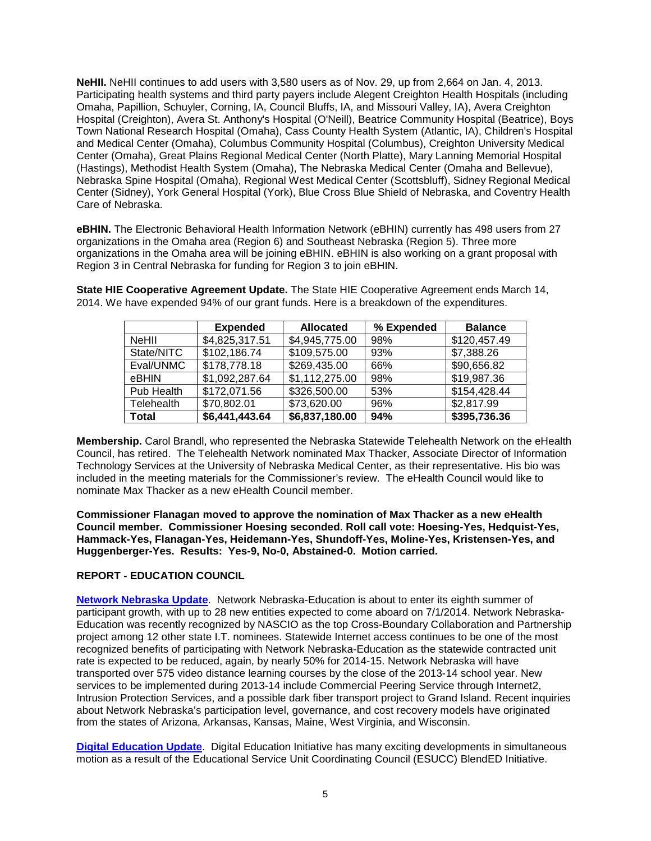**NeHII.** NeHII continues to add users with 3,580 users as of Nov. 29, up from 2,664 on Jan. 4, 2013. Participating health systems and third party payers include Alegent Creighton Health Hospitals (including Omaha, Papillion, Schuyler, Corning, IA, Council Bluffs, IA, and Missouri Valley, IA), Avera Creighton Hospital (Creighton), Avera St. Anthony's Hospital (O'Neill), Beatrice Community Hospital (Beatrice), Boys Town National Research Hospital (Omaha), Cass County Health System (Atlantic, IA), Children's Hospital and Medical Center (Omaha), Columbus Community Hospital (Columbus), Creighton University Medical Center (Omaha), Great Plains Regional Medical Center (North Platte), Mary Lanning Memorial Hospital (Hastings), Methodist Health System (Omaha), The Nebraska Medical Center (Omaha and Bellevue), Nebraska Spine Hospital (Omaha), Regional West Medical Center (Scottsbluff), Sidney Regional Medical Center (Sidney), York General Hospital (York), Blue Cross Blue Shield of Nebraska, and Coventry Health Care of Nebraska.

**eBHIN.** The Electronic Behavioral Health Information Network (eBHIN) currently has 498 users from 27 organizations in the Omaha area (Region 6) and Southeast Nebraska (Region 5). Three more organizations in the Omaha area will be joining eBHIN. eBHIN is also working on a grant proposal with Region 3 in Central Nebraska for funding for Region 3 to join eBHIN.

**State HIE Cooperative Agreement Update.** The State HIE Cooperative Agreement ends March 14, 2014. We have expended 94% of our grant funds. Here is a breakdown of the expenditures.

|              | <b>Expended</b> | <b>Allocated</b> | % Expended | <b>Balance</b> |
|--------------|-----------------|------------------|------------|----------------|
| <b>NeHII</b> | \$4,825,317.51  | \$4,945,775.00   | 98%        | \$120,457.49   |
| State/NITC   | \$102,186.74    | \$109,575.00     | 93%        | \$7,388.26     |
| Eval/UNMC    | \$178,778.18    | \$269,435.00     | 66%        | \$90,656.82    |
| eBHIN        | \$1,092,287.64  | \$1,112,275.00   | 98%        | \$19,987.36    |
| Pub Health   | \$172,071.56    | \$326,500.00     | 53%        | \$154,428.44   |
| Telehealth   | \$70,802.01     | \$73,620.00      | 96%        | \$2,817.99     |
| <b>Total</b> | \$6,441,443.64  | \$6,837,180.00   | 94%        | \$395,736.36   |

**Membership.** Carol Brandl, who represented the Nebraska Statewide Telehealth Network on the eHealth Council, has retired. The Telehealth Network nominated Max Thacker, Associate Director of Information Technology Services at the University of Nebraska Medical Center, as their representative. His bio was included in the meeting materials for the Commissioner's review. The eHealth Council would like to nominate Max Thacker as a new eHealth Council member.

**Commissioner Flanagan moved to approve the nomination of Max Thacker as a new eHealth Council member. Commissioner Hoesing seconded**. **Roll call vote: Hoesing-Yes, Hedquist-Yes, Hammack-Yes, Flanagan-Yes, Heidemann-Yes, Shundoff-Yes, Moline-Yes, Kristensen-Yes, and Huggenberger-Yes. Results: Yes-9, No-0, Abstained-0. Motion carried.**

# **REPORT - EDUCATION COUNCIL**

**[Network Nebraska Update](http://nitc.nebraska.gov/commission/meetings/documents/20131210/NetworkNebraskaUpdate_20131210.pdf)**. Network Nebraska-Education is about to enter its eighth summer of participant growth, with up to 28 new entities expected to come aboard on 7/1/2014. Network Nebraska-Education was recently recognized by NASCIO as the top Cross-Boundary Collaboration and Partnership project among 12 other state I.T. nominees. Statewide Internet access continues to be one of the most recognized benefits of participating with Network Nebraska-Education as the statewide contracted unit rate is expected to be reduced, again, by nearly 50% for 2014-15. Network Nebraska will have transported over 575 video distance learning courses by the close of the 2013-14 school year. New services to be implemented during 2013-14 include Commercial Peering Service through Internet2, Intrusion Protection Services, and a possible dark fiber transport project to Grand Island. Recent inquiries about Network Nebraska's participation level, governance, and cost recovery models have originated from the states of Arizona, Arkansas, Kansas, Maine, West Virginia, and Wisconsin.

**[Digital Education Update](http://nitc.nebraska.gov/commission/meetings/documents/20131210/DigitalEducationUpdate_20131210.pdf)**. Digital Education Initiative has many exciting developments in simultaneous motion as a result of the Educational Service Unit Coordinating Council (ESUCC) BlendED Initiative.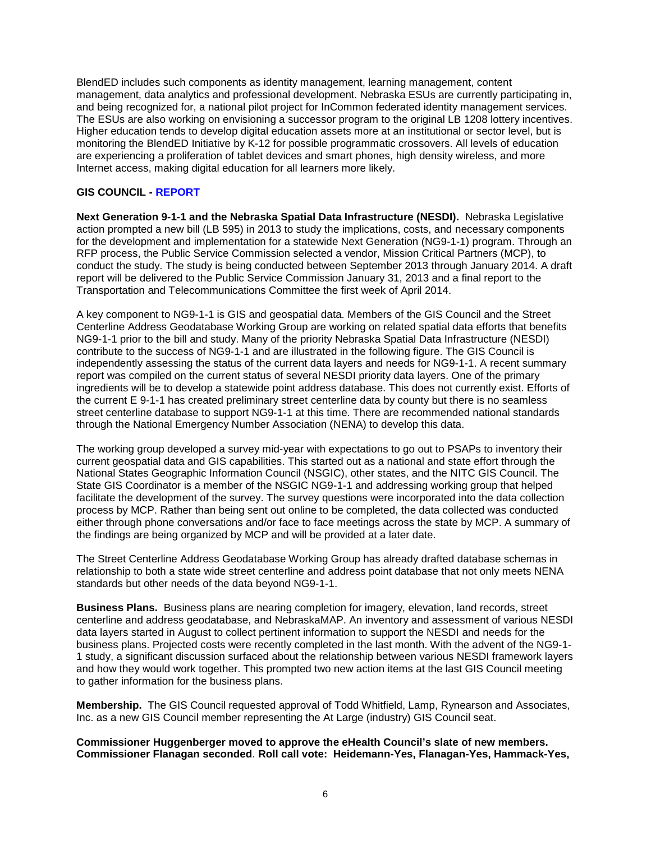BlendED includes such components as identity management, learning management, content management, data analytics and professional development. Nebraska ESUs are currently participating in, and being recognized for, a national pilot project for InCommon federated identity management services. The ESUs are also working on envisioning a successor program to the original LB 1208 lottery incentives. Higher education tends to develop digital education assets more at an institutional or sector level, but is monitoring the BlendED Initiative by K-12 for possible programmatic crossovers. All levels of education are experiencing a proliferation of tablet devices and smart phones, high density wireless, and more Internet access, making digital education for all learners more likely.

# **GIS COUNCIL - [REPORT](http://nitc.nebraska.gov/commission/meetings/documents/20131210/GISCouncilUpdate_20131210.pdf)**

**Next Generation 9-1-1 and the Nebraska Spatial Data Infrastructure (NESDI).** Nebraska Legislative action prompted a new bill (LB 595) in 2013 to study the implications, costs, and necessary components for the development and implementation for a statewide Next Generation (NG9-1-1) program. Through an RFP process, the Public Service Commission selected a vendor, Mission Critical Partners (MCP), to conduct the study. The study is being conducted between September 2013 through January 2014. A draft report will be delivered to the Public Service Commission January 31, 2013 and a final report to the Transportation and Telecommunications Committee the first week of April 2014.

A key component to NG9-1-1 is GIS and geospatial data. Members of the GIS Council and the Street Centerline Address Geodatabase Working Group are working on related spatial data efforts that benefits NG9-1-1 prior to the bill and study. Many of the priority Nebraska Spatial Data Infrastructure (NESDI) contribute to the success of NG9-1-1 and are illustrated in the following figure. The GIS Council is independently assessing the status of the current data layers and needs for NG9-1-1. A recent summary report was compiled on the current status of several NESDI priority data layers. One of the primary ingredients will be to develop a statewide point address database. This does not currently exist. Efforts of the current E 9-1-1 has created preliminary street centerline data by county but there is no seamless street centerline database to support NG9-1-1 at this time. There are recommended national standards through the National Emergency Number Association (NENA) to develop this data.

The working group developed a survey mid-year with expectations to go out to PSAPs to inventory their current geospatial data and GIS capabilities. This started out as a national and state effort through the National States Geographic Information Council (NSGIC), other states, and the NITC GIS Council. The State GIS Coordinator is a member of the NSGIC NG9-1-1 and addressing working group that helped facilitate the development of the survey. The survey questions were incorporated into the data collection process by MCP. Rather than being sent out online to be completed, the data collected was conducted either through phone conversations and/or face to face meetings across the state by MCP. A summary of the findings are being organized by MCP and will be provided at a later date.

The Street Centerline Address Geodatabase Working Group has already drafted database schemas in relationship to both a state wide street centerline and address point database that not only meets NENA standards but other needs of the data beyond NG9-1-1.

**Business Plans.** Business plans are nearing completion for imagery, elevation, land records, street centerline and address geodatabase, and NebraskaMAP. An inventory and assessment of various NESDI data layers started in August to collect pertinent information to support the NESDI and needs for the business plans. Projected costs were recently completed in the last month. With the advent of the NG9-1- 1 study, a significant discussion surfaced about the relationship between various NESDI framework layers and how they would work together. This prompted two new action items at the last GIS Council meeting to gather information for the business plans.

**Membership.** The GIS Council requested approval of Todd Whitfield, Lamp, Rynearson and Associates, Inc. as a new GIS Council member representing the At Large (industry) GIS Council seat.

**Commissioner Huggenberger moved to approve the eHealth Council's slate of new members. Commissioner Flanagan seconded**. **Roll call vote: Heidemann-Yes, Flanagan-Yes, Hammack-Yes,**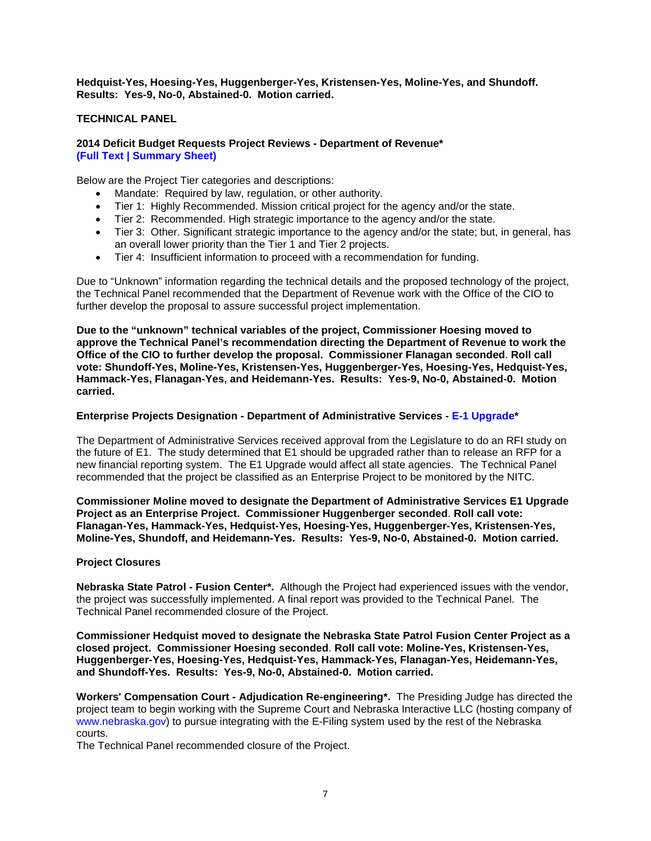**Hedquist-Yes, Hoesing-Yes, Huggenberger-Yes, Kristensen-Yes, Moline-Yes, and Shundoff. Results: Yes-9, No-0, Abstained-0. Motion carried.**

# **TECHNICAL PANEL**

### **2014 Deficit Budget Requests Project Reviews - Department of Revenue\* [\(Full Text](http://nitc.nebraska.gov/commission/meetings/documents/20131210/16-01.pdf) | [Summary Sheet\)](http://nitc.nebraska.gov/commission/meetings/documents/20131210/16-01_ss.pdf)**

Below are the Project Tier categories and descriptions:

- Mandate: Required by law, regulation, or other authority.
- Tier 1: Highly Recommended. Mission critical project for the agency and/or the state.
- Tier 2: Recommended. High strategic importance to the agency and/or the state.
- Tier 3: Other. Significant strategic importance to the agency and/or the state; but, in general, has an overall lower priority than the Tier 1 and Tier 2 projects.
- Tier 4: Insufficient information to proceed with a recommendation for funding.

Due to "Unknown" information regarding the technical details and the proposed technology of the project, the Technical Panel recommended that the Department of Revenue work with the Office of the CIO to further develop the proposal to assure successful project implementation.

**Due to the "unknown" technical variables of the project, Commissioner Hoesing moved to approve the Technical Panel's recommendation directing the Department of Revenue to work the Office of the CIO to further develop the proposal. Commissioner Flanagan seconded**. **Roll call vote: Shundoff-Yes, Moline-Yes, Kristensen-Yes, Huggenberger-Yes, Hoesing-Yes, Hedquist-Yes, Hammack-Yes, Flanagan-Yes, and Heidemann-Yes. Results: Yes-9, No-0, Abstained-0. Motion carried.**

### **Enterprise Projects Designation - Department of Administrative Services - [E-1 Upgrade\\*](http://nitc.nebraska.gov/commission/meetings/documents/20131210/EnterpriseOne%20System%20Upgrade.pdf)**

The Department of Administrative Services received approval from the Legislature to do an RFI study on the future of E1. The study determined that E1 should be upgraded rather than to release an RFP for a new financial reporting system. The E1 Upgrade would affect all state agencies. The Technical Panel recommended that the project be classified as an Enterprise Project to be monitored by the NITC.

**Commissioner Moline moved to designate the Department of Administrative Services E1 Upgrade Project as an Enterprise Project. Commissioner Huggenberger seconded**. **Roll call vote: Flanagan-Yes, Hammack-Yes, Hedquist-Yes, Hoesing-Yes, Huggenberger-Yes, Kristensen-Yes, Moline-Yes, Shundoff, and Heidemann-Yes. Results: Yes-9, No-0, Abstained-0. Motion carried.**

### **Project Closures**

**Nebraska State Patrol - Fusion Center\*.** Although the Project had experienced issues with the vendor, the project was successfully implemented. A final report was provided to the Technical Panel. The Technical Panel recommended closure of the Project.

**Commissioner Hedquist moved to designate the Nebraska State Patrol Fusion Center Project as a closed project. Commissioner Hoesing seconded**. **Roll call vote: Moline-Yes, Kristensen-Yes, Huggenberger-Yes, Hoesing-Yes, Hedquist-Yes, Hammack-Yes, Flanagan-Yes, Heidemann-Yes, and Shundoff-Yes. Results: Yes-9, No-0, Abstained-0. Motion carried.**

**Workers' Compensation Court - Adjudication Re-engineering\*.** The Presiding Judge has directed the project team to begin working with the Supreme Court and Nebraska Interactive LLC (hosting company of www.nebraska.gov) to pursue integrating with the E-Filing system used by the rest of the Nebraska courts.

The Technical Panel recommended closure of the Project.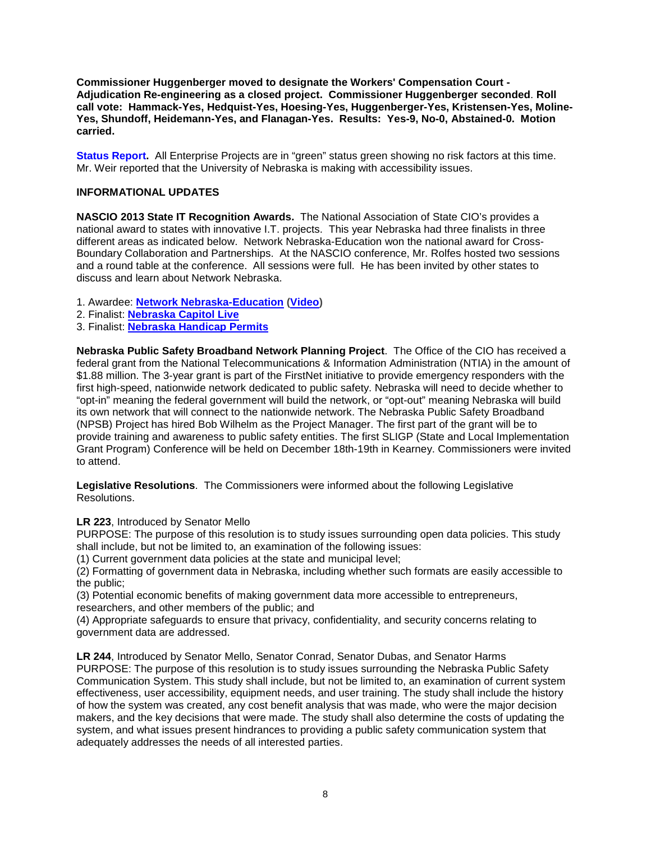**Commissioner Huggenberger moved to designate the Workers' Compensation Court - Adjudication Re-engineering as a closed project. Commissioner Huggenberger seconded**. **Roll call vote: Hammack-Yes, Hedquist-Yes, Hoesing-Yes, Huggenberger-Yes, Kristensen-Yes, Moline-Yes, Shundoff, Heidemann-Yes, and Flanagan-Yes. Results: Yes-9, No-0, Abstained-0. Motion carried.**

**[Status Report.](http://nitc.nebraska.gov/commission/meetings/documents/20131210/NITC_Dashboard_2013-11.pdf)** All Enterprise Projects are in "green" status green showing no risk factors at this time. Mr. Weir reported that the University of Nebraska is making with accessibility issues.

# **INFORMATIONAL UPDATES**

**NASCIO 2013 State IT Recognition Awards.** The National Association of State CIO's provides a national award to states with innovative I.T. projects. This year Nebraska had three finalists in three different areas as indicated below. [Network Nebraska-Education](http://www.nascio.org/awards/nominations2013/2013/2013NE1-2013_NASCIO_Nebraska_NetworkNebraska.pdf) won the national award for Cross-Boundary Collaboration and Partnerships. At the NASCIO conference, Mr. Rolfes hosted two sessions and a round table at the conference. All sessions were full. He has been invited by other states to discuss and learn about Network Nebraska.

- 1. Awardee: **[Network Nebraska-Education](http://www.nascio.org/awards/nominations2013/2013/2013NE1-2013_NASCIO_Nebraska_NetworkNebraska.pdf) [\(Video\)](http://www.youtube.com/watch?v=GI_g1EeoYhE)**
- 2. Finalist: **[Nebraska Capitol Live](http://www.nascio.org/awards/nominations2013/2013/2013NE6-2013_NASCIO_Nebraska_CapitolLive.pdf)**
- 3. Finalist: **[Nebraska Handicap Permits](http://www.nascio.org/awards/nominations2013/2013/2013NE4-2013_NASCIO_Nebraska_HandicapPermits.pdf)**

**Nebraska Public Safety Broadband Network Planning Project**. The Office of the CIO has received a federal grant from the National Telecommunications & Information Administration (NTIA) in the amount of \$1.88 million. The 3-year grant is part of the FirstNet initiative to provide emergency responders with the first high-speed, nationwide network dedicated to public safety. Nebraska will need to decide whether to "opt-in" meaning the federal government will build the network, or "opt-out" meaning Nebraska will build its own network that will connect to the nationwide network. The Nebraska Public Safety Broadband (NPSB) Project has hired Bob Wilhelm as the Project Manager. The first part of the grant will be to provide training and awareness to public safety entities. The first SLIGP (State and Local Implementation Grant Program) Conference will be held on December 18th-19th in Kearney. Commissioners were invited to attend.

**Legislative Resolutions**. The Commissioners were informed about the following Legislative Resolutions.

**LR 223**, Introduced by Senator Mello

PURPOSE: The purpose of this resolution is to study issues surrounding open data policies. This study shall include, but not be limited to, an examination of the following issues:

(1) Current government data policies at the state and municipal level;

(2) Formatting of government data in Nebraska, including whether such formats are easily accessible to the public;

(3) Potential economic benefits of making government data more accessible to entrepreneurs, researchers, and other members of the public; and

(4) Appropriate safeguards to ensure that privacy, confidentiality, and security concerns relating to government data are addressed.

**LR 244**, Introduced by Senator Mello, Senator Conrad, Senator Dubas, and Senator Harms PURPOSE: The purpose of this resolution is to study issues surrounding the Nebraska Public Safety Communication System. This study shall include, but not be limited to, an examination of current system effectiveness, user accessibility, equipment needs, and user training. The study shall include the history of how the system was created, any cost benefit analysis that was made, who were the major decision makers, and the key decisions that were made. The study shall also determine the costs of updating the system, and what issues present hindrances to providing a public safety communication system that adequately addresses the needs of all interested parties.